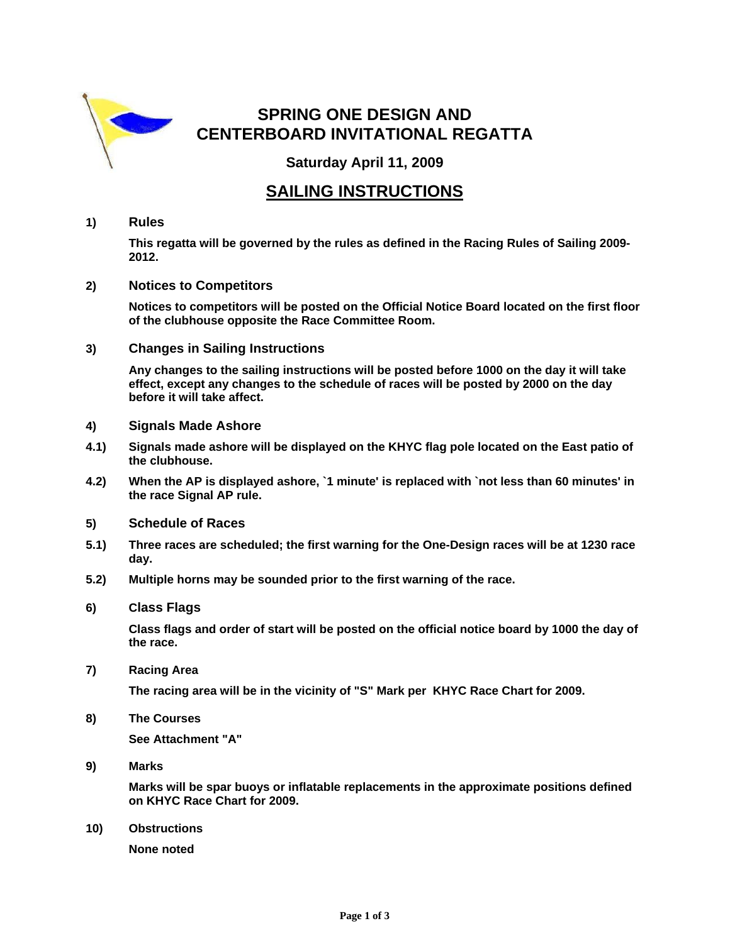

# **SPRING ONE DESIGN AND CENTERBOARD INVITATIONAL REGATTA**

**Saturday April 11, 2009** 

### **SAILING INSTRUCTIONS**

#### **1) Rules**

 **This regatta will be governed by the rules as defined in the Racing Rules of Sailing 2009- 2012.** 

**2) Notices to Competitors**

 **Notices to competitors will be posted on the Official Notice Board located on the first floor of the clubhouse opposite the Race Committee Room.** 

**3) Changes in Sailing Instructions**

 **Any changes to the sailing instructions will be posted before 1000 on the day it will take effect, except any changes to the schedule of races will be posted by 2000 on the day before it will take affect.** 

- **4) Signals Made Ashore**
- **4.1) Signals made ashore will be displayed on the KHYC flag pole located on the East patio of the clubhouse.**
- **4.2) When the AP is displayed ashore, `1 minute' is replaced with `not less than 60 minutes' in the race Signal AP rule.**
- **5) Schedule of Races**
- **5.1) Three races are scheduled; the first warning for the One-Design races will be at 1230 race day.**
- **5.2) Multiple horns may be sounded prior to the first warning of the race.**
- **6) Class Flags**

 **Class flags and order of start will be posted on the official notice board by 1000 the day of the race.** 

**7) Racing Area** 

 **The racing area will be in the vicinity of "S" Mark per KHYC Race Chart for 2009.** 

**8) The Courses** 

 **See Attachment "A"** 

**9) Marks** 

 **Marks will be spar buoys or inflatable replacements in the approximate positions defined on KHYC Race Chart for 2009.** 

**10) Obstructions** 

 **None noted**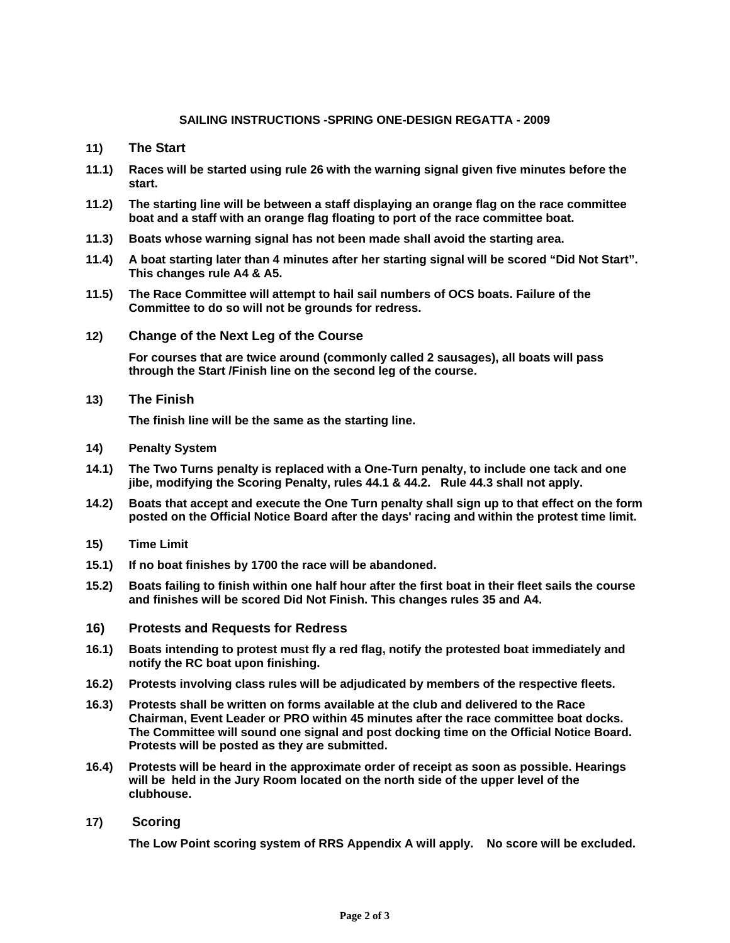#### **SAILING INSTRUCTIONS -SPRING ONE-DESIGN REGATTA - 2009**

- **11) The Start**
- **11.1) Races will be started using rule 26 with the warning signal given five minutes before the start.**
- **11.2) The starting line will be between a staff displaying an orange flag on the race committee boat and a staff with an orange flag floating to port of the race committee boat.**
- **11.3) Boats whose warning signal has not been made shall avoid the starting area.**
- **11.4) A boat starting later than 4 minutes after her starting signal will be scored "Did Not Start". This changes rule A4 & A5.**
- **11.5 ) The Race Committee will attempt to hail sail numbers of OCS boats. Failure of the Committee to do so will not be grounds for redress.**
- **12) Change of the Next Leg of the Course**

 **For courses that are twice around (commonly called 2 sausages), all boats will pass through the Start /Finish line on the second leg of the course.** 

**13) The Finish** 

 **The finish line will be the same as the starting line.** 

- **14) Penalty System**
- **14.1) The Two Turns penalty is replaced with a One-Turn penalty, to include one tack and one jibe, modifying the Scoring Penalty, rules 44.1 & 44.2. Rule 44.3 shall not apply.**
- **14.2 ) Boats that accept and execute the One Turn penalty shall sign up to that effect on the form posted on the Official Notice Board after the days' racing and within the protest time limit.**
- **15) Time Limit**
- **15.1) If no boat finishes by 1700 the race will be abandoned.**
- **15.2) Boats failing to finish within one half hour after the first boat in their fleet sails the course and finishes will be scored Did Not Finish. This changes rules 35 and A4.**

#### **16) Protests and Requests for Redress**

- **16.1) Boats intending to protest must fly a red flag, notify the protested boat immediately and notify the RC boat upon finishing.**
- **16.2) Protests involving class rules will be adjudicated by members of the respective fleets.**
- **16.3) Protests shall be written on forms available at the club and delivered to the Race Chairman, Event Leader or PRO within 45 minutes after the race committee boat docks. The Committee will sound one signal and post docking time on the Official Notice Board. Protests will be posted as they are submitted.**
- **16.4) Protests will be heard in the approximate order of receipt as soon as possible. Hearings will be held in the Jury Room located on the north side of the upper level of the clubhouse.**
- **17) Scoring**

 **The Low Point scoring system of RRS Appendix A will apply. No score will be excluded.**